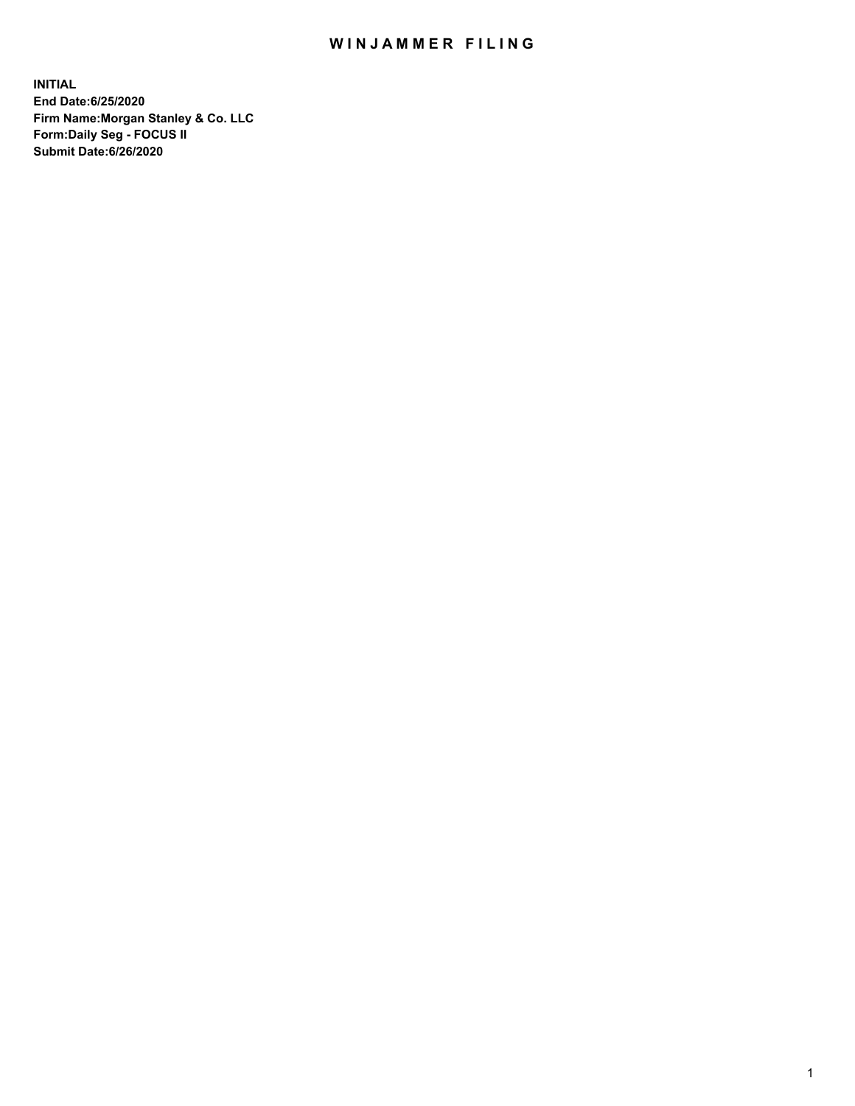## WIN JAMMER FILING

**INITIAL End Date:6/25/2020 Firm Name:Morgan Stanley & Co. LLC Form:Daily Seg - FOCUS II Submit Date:6/26/2020**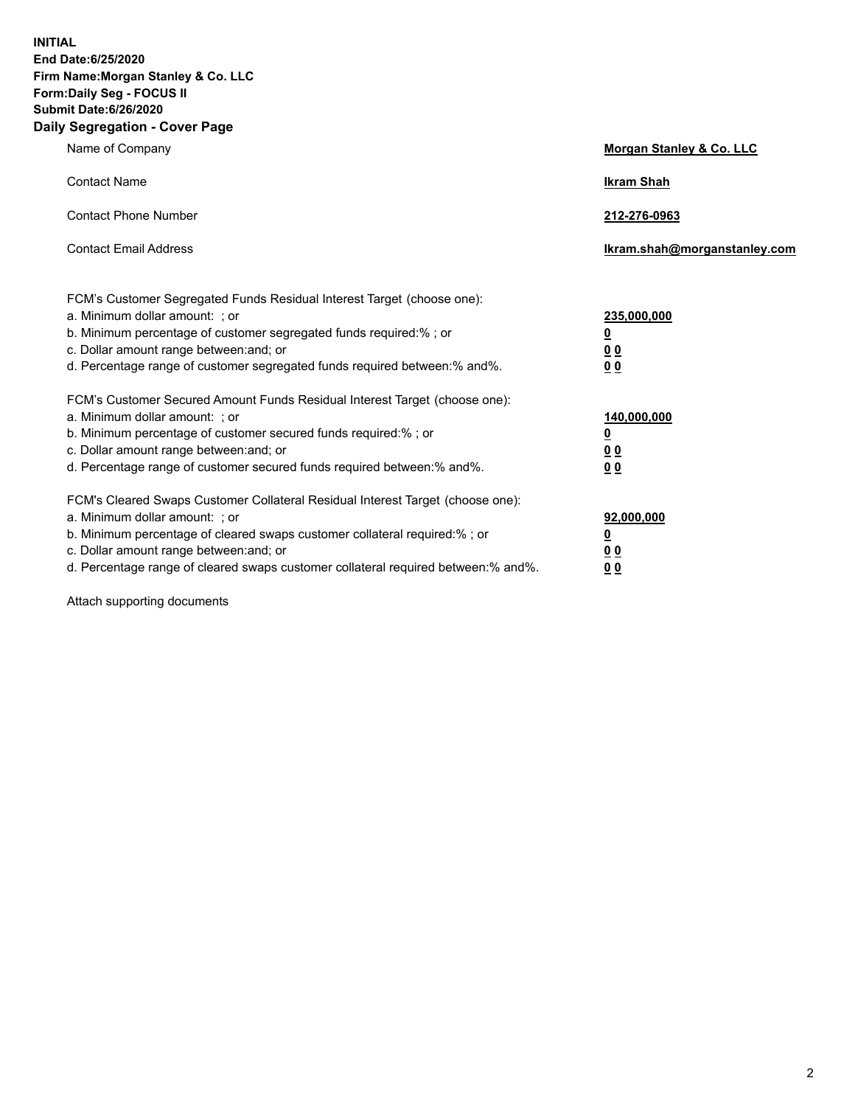**INITIAL End Date:6/25/2020 Firm Name:Morgan Stanley & Co. LLC Form:Daily Seg - FOCUS II Submit Date:6/26/2020 Daily Segregation - Cover Page**

| Name of Company                                                                                                                                                                                                                                                                                                                | <b>Morgan Stanley &amp; Co. LLC</b>                    |
|--------------------------------------------------------------------------------------------------------------------------------------------------------------------------------------------------------------------------------------------------------------------------------------------------------------------------------|--------------------------------------------------------|
| <b>Contact Name</b>                                                                                                                                                                                                                                                                                                            | <b>Ikram Shah</b>                                      |
| <b>Contact Phone Number</b>                                                                                                                                                                                                                                                                                                    | 212-276-0963                                           |
| <b>Contact Email Address</b>                                                                                                                                                                                                                                                                                                   | Ikram.shah@morganstanley.com                           |
| FCM's Customer Segregated Funds Residual Interest Target (choose one):<br>a. Minimum dollar amount: : or<br>b. Minimum percentage of customer segregated funds required:%; or<br>c. Dollar amount range between: and; or<br>d. Percentage range of customer segregated funds required between:% and%.                          | 235,000,000<br><u>0</u><br><u>00</u><br><u>00</u>      |
| FCM's Customer Secured Amount Funds Residual Interest Target (choose one):<br>a. Minimum dollar amount: ; or<br>b. Minimum percentage of customer secured funds required:%; or<br>c. Dollar amount range between: and; or<br>d. Percentage range of customer secured funds required between:% and%.                            | 140,000,000<br><u>0</u><br><u>00</u><br>0 <sub>0</sub> |
| FCM's Cleared Swaps Customer Collateral Residual Interest Target (choose one):<br>a. Minimum dollar amount: ; or<br>b. Minimum percentage of cleared swaps customer collateral required:% ; or<br>c. Dollar amount range between: and; or<br>d. Percentage range of cleared swaps customer collateral required between:% and%. | 92,000,000<br><u>0</u><br><u>00</u><br>00              |

Attach supporting documents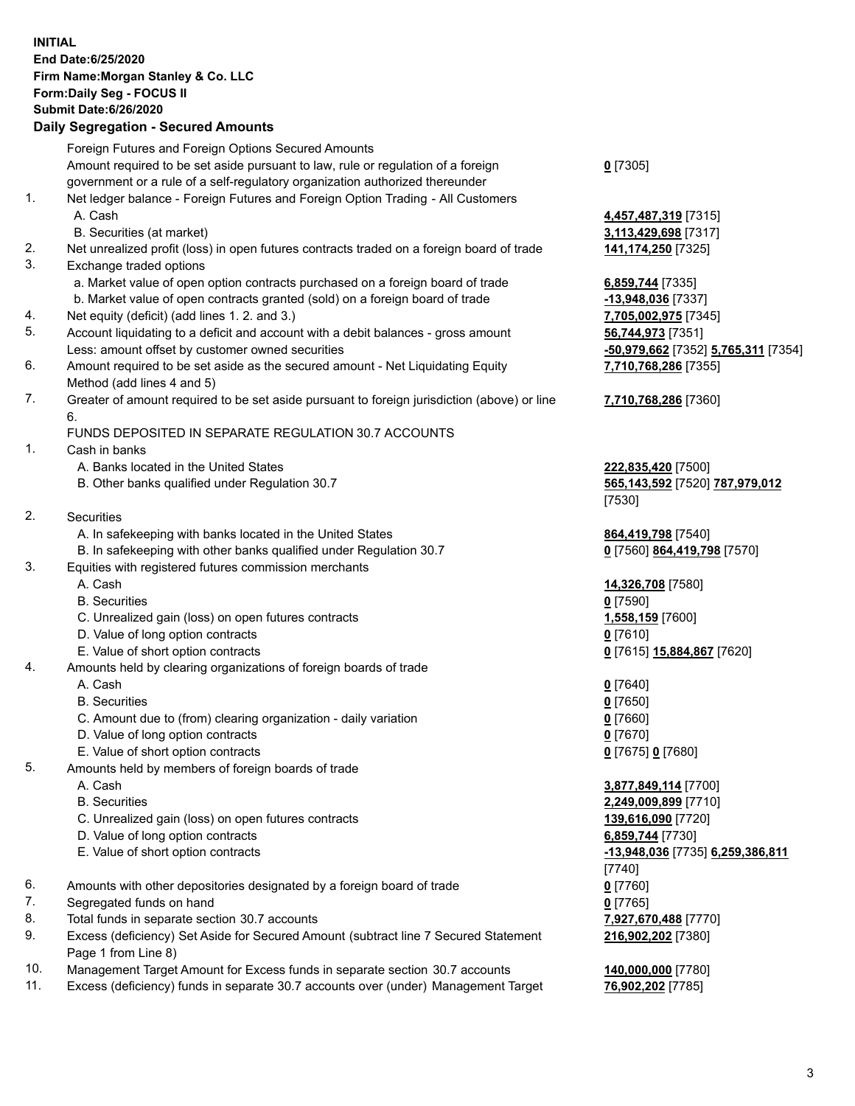## **INITIAL End Date:6/25/2020 Firm Name:Morgan Stanley & Co. LLC Form:Daily Seg - FOCUS II Submit Date:6/26/2020**

## **Daily Segregation - Secured Amounts**

|     | Foreign Futures and Foreign Options Secured Amounts                                                |                                     |
|-----|----------------------------------------------------------------------------------------------------|-------------------------------------|
|     | Amount required to be set aside pursuant to law, rule or regulation of a foreign                   | $0$ [7305]                          |
|     | government or a rule of a self-regulatory organization authorized thereunder                       |                                     |
| 1.  | Net ledger balance - Foreign Futures and Foreign Option Trading - All Customers                    |                                     |
|     | A. Cash                                                                                            | 4,457,487,319 [7315]                |
|     | B. Securities (at market)                                                                          | 3,113,429,698 [7317]                |
| 2.  | Net unrealized profit (loss) in open futures contracts traded on a foreign board of trade          | 141,174,250 [7325]                  |
| 3.  | Exchange traded options                                                                            |                                     |
|     | a. Market value of open option contracts purchased on a foreign board of trade                     | 6,859,744 [7335]                    |
|     | b. Market value of open contracts granted (sold) on a foreign board of trade                       | -13,948,036 [7337]                  |
| 4.  | Net equity (deficit) (add lines 1. 2. and 3.)                                                      | 7,705,002,975 [7345]                |
| 5.  | Account liquidating to a deficit and account with a debit balances - gross amount                  | 56,744,973 [7351]                   |
|     | Less: amount offset by customer owned securities                                                   | -50,979,662 [7352] 5,765,311 [7354] |
| 6.  | Amount required to be set aside as the secured amount - Net Liquidating Equity                     | 7,710,768,286 [7355]                |
|     | Method (add lines 4 and 5)                                                                         |                                     |
| 7.  | Greater of amount required to be set aside pursuant to foreign jurisdiction (above) or line        | 7,710,768,286 [7360]                |
|     | 6.                                                                                                 |                                     |
|     | FUNDS DEPOSITED IN SEPARATE REGULATION 30.7 ACCOUNTS                                               |                                     |
| 1.  | Cash in banks                                                                                      |                                     |
|     | A. Banks located in the United States                                                              | 222,835,420 [7500]                  |
|     | B. Other banks qualified under Regulation 30.7                                                     | 565,143,592 [7520] 787,979,012      |
|     |                                                                                                    | [7530]                              |
| 2.  | Securities                                                                                         |                                     |
|     | A. In safekeeping with banks located in the United States                                          | 864,419,798 [7540]                  |
|     | B. In safekeeping with other banks qualified under Regulation 30.7                                 | 0 [7560] 864,419,798 [7570]         |
| 3.  | Equities with registered futures commission merchants                                              |                                     |
|     | A. Cash                                                                                            | 14,326,708 [7580]                   |
|     | <b>B.</b> Securities                                                                               | $0$ [7590]                          |
|     | C. Unrealized gain (loss) on open futures contracts                                                | 1,558,159 [7600]                    |
|     | D. Value of long option contracts                                                                  | $0$ [7610]                          |
|     | E. Value of short option contracts                                                                 | 0 [7615] 15,884,867 [7620]          |
| 4.  | Amounts held by clearing organizations of foreign boards of trade                                  |                                     |
|     | A. Cash                                                                                            | $0$ [7640]                          |
|     | <b>B.</b> Securities                                                                               | $0$ [7650]                          |
|     | C. Amount due to (from) clearing organization - daily variation                                    | $0$ [7660]                          |
|     | D. Value of long option contracts                                                                  | $0$ [7670]                          |
|     | E. Value of short option contracts                                                                 | 0 [7675] 0 [7680]                   |
| 5.  | Amounts held by members of foreign boards of trade                                                 |                                     |
|     | A. Cash                                                                                            | 3,877,849,114 [7700]                |
|     | <b>B.</b> Securities                                                                               | 2,249,009,899 [7710]                |
|     | C. Unrealized gain (loss) on open futures contracts                                                | 139,616,090 [7720]                  |
|     | D. Value of long option contracts                                                                  | 6,859,744 [7730]                    |
|     | E. Value of short option contracts                                                                 | -13,948,036 [7735] 6,259,386,811    |
|     |                                                                                                    | $[7740]$                            |
| 6.  | Amounts with other depositories designated by a foreign board of trade                             | $0$ [7760]                          |
| 7.  | Segregated funds on hand                                                                           | $0$ [7765]                          |
| 8.  | Total funds in separate section 30.7 accounts                                                      | 7,927,670,488 [7770]                |
| 9.  | Excess (deficiency) Set Aside for Secured Amount (subtract line 7 Secured Statement                | 216,902,202 [7380]                  |
| 10. | Page 1 from Line 8)<br>Management Target Amount for Excess funds in separate section 30.7 accounts | 140,000,000 [7780]                  |
|     |                                                                                                    |                                     |

11. Excess (deficiency) funds in separate 30.7 accounts over (under) Management Target **76,902,202** [7785]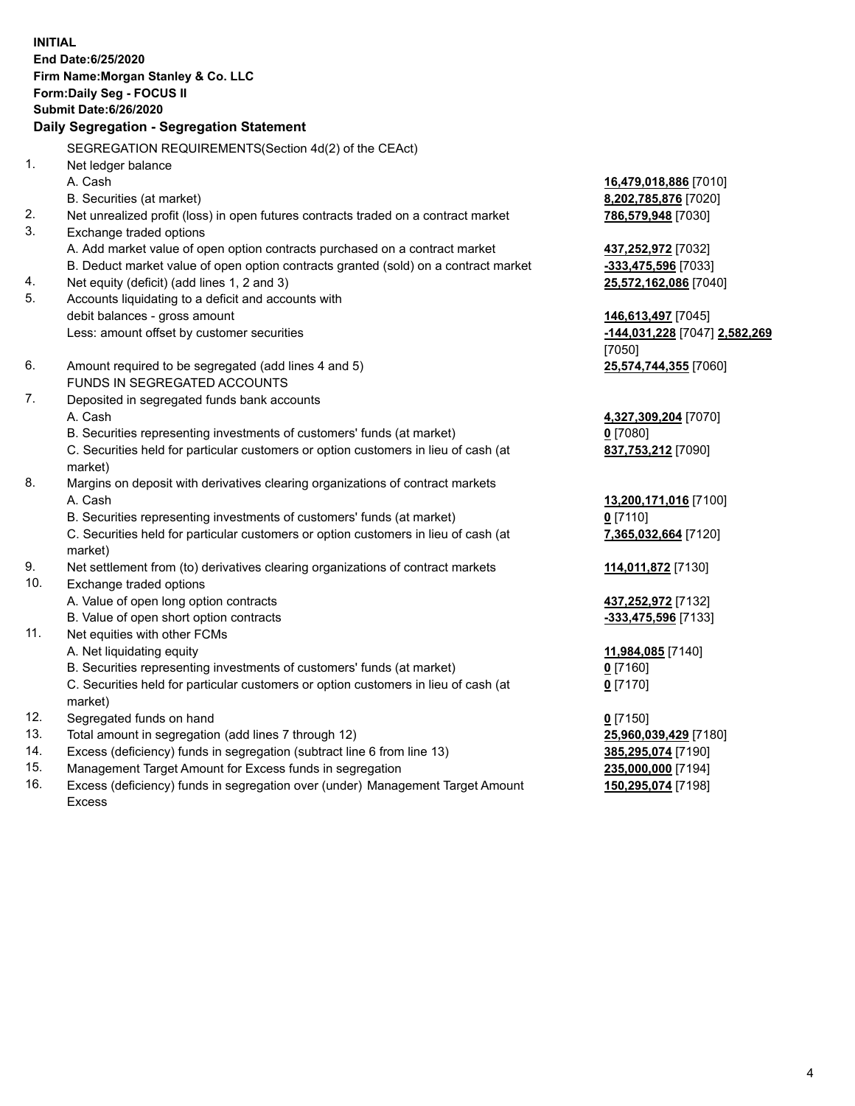**INITIAL End Date:6/25/2020 Firm Name:Morgan Stanley & Co. LLC Form:Daily Seg - FOCUS II Submit Date:6/26/2020 Daily Segregation - Segregation Statement** SEGREGATION REQUIREMENTS(Section 4d(2) of the CEAct) 1. Net ledger balance A. Cash **16,479,018,886** [7010] B. Securities (at market) **8,202,785,876** [7020] 2. Net unrealized profit (loss) in open futures contracts traded on a contract market **786,579,948** [7030] 3. Exchange traded options A. Add market value of open option contracts purchased on a contract market **437,252,972** [7032] B. Deduct market value of open option contracts granted (sold) on a contract market **-333,475,596** [7033] 4. Net equity (deficit) (add lines 1, 2 and 3) **25,572,162,086** [7040] 5. Accounts liquidating to a deficit and accounts with debit balances - gross amount **146,613,497** [7045] Less: amount offset by customer securities **-144,031,228** [7047] **2,582,269** [7050] 6. Amount required to be segregated (add lines 4 and 5) **25,574,744,355** [7060] FUNDS IN SEGREGATED ACCOUNTS 7. Deposited in segregated funds bank accounts A. Cash **4,327,309,204** [7070] B. Securities representing investments of customers' funds (at market) **0** [7080] C. Securities held for particular customers or option customers in lieu of cash (at market) **837,753,212** [7090] 8. Margins on deposit with derivatives clearing organizations of contract markets A. Cash **13,200,171,016** [7100] B. Securities representing investments of customers' funds (at market) **0** [7110] C. Securities held for particular customers or option customers in lieu of cash (at market) **7,365,032,664** [7120] 9. Net settlement from (to) derivatives clearing organizations of contract markets **114,011,872** [7130] 10. Exchange traded options A. Value of open long option contracts **437,252,972** [7132] B. Value of open short option contracts **-333,475,596** [7133] 11. Net equities with other FCMs A. Net liquidating equity **11,984,085** [7140] B. Securities representing investments of customers' funds (at market) **0** [7160] C. Securities held for particular customers or option customers in lieu of cash (at market) **0** [7170] 12. Segregated funds on hand **0** [7150] 13. Total amount in segregation (add lines 7 through 12) **25,960,039,429** [7180] 14. Excess (deficiency) funds in segregation (subtract line 6 from line 13) **385,295,074** [7190] 15. Management Target Amount for Excess funds in segregation **235,000,000** [7194]

- 16. Excess (deficiency) funds in segregation over (under) Management Target Amount
	- Excess

**150,295,074** [7198]